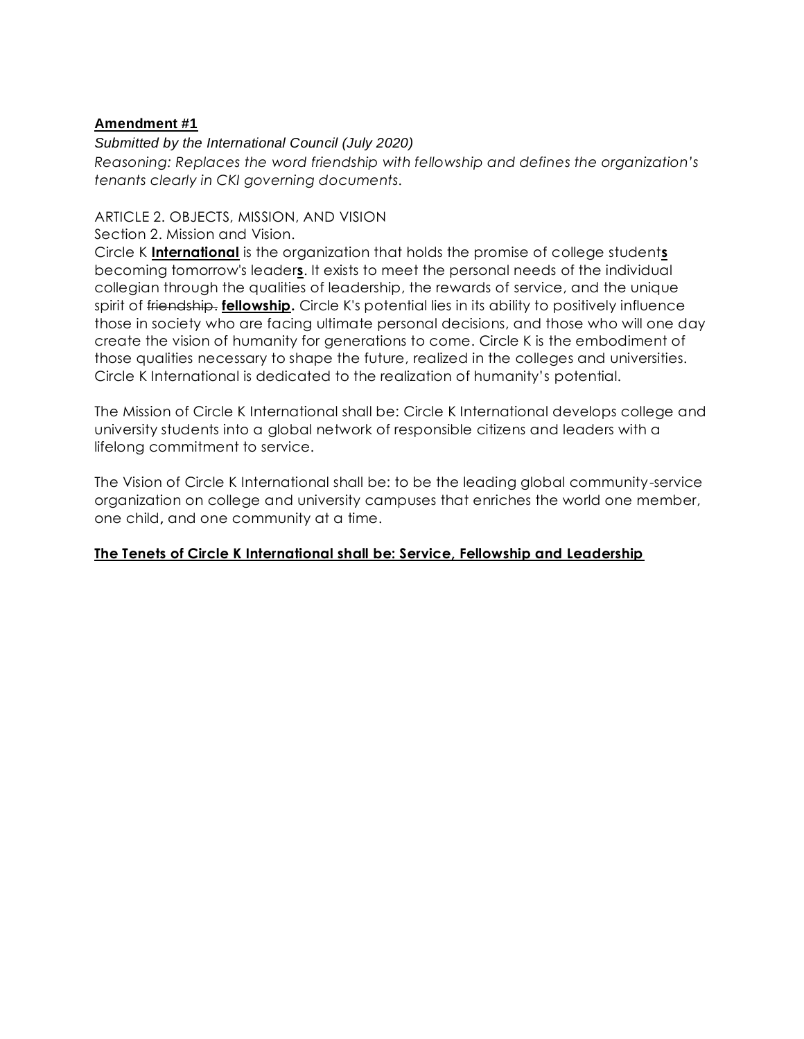#### *Submitted by the International Council (July 2020)*

*Reasoning: Replaces the word friendship with fellowship and defines the organization's tenants clearly in CKI governing documents.* 

# ARTICLE 2. OBJECTS, MISSION, AND VISION

Section 2. Mission and Vision.

Circle K **International** is the organization that holds the promise of college student**s** becoming tomorrow's leader**s**. It exists to meet the personal needs of the individual collegian through the qualities of leadership, the rewards of service, and the unique spirit of friendship. **fellowship.** Circle K's potential lies in its ability to positively influence those in society who are facing ultimate personal decisions, and those who will one day create the vision of humanity for generations to come. Circle K is the embodiment of those qualities necessary to shape the future, realized in the colleges and universities. Circle K International is dedicated to the realization of humanity's potential.

The Mission of Circle K International shall be: Circle K International develops college and university students into a global network of responsible citizens and leaders with a lifelong commitment to service.

The Vision of Circle K International shall be: to be the leading global community-service organization on college and university campuses that enriches the world one member, one child**,** and one community at a time.

#### **The Tenets of Circle K International shall be: Service, Fellowship and Leadership**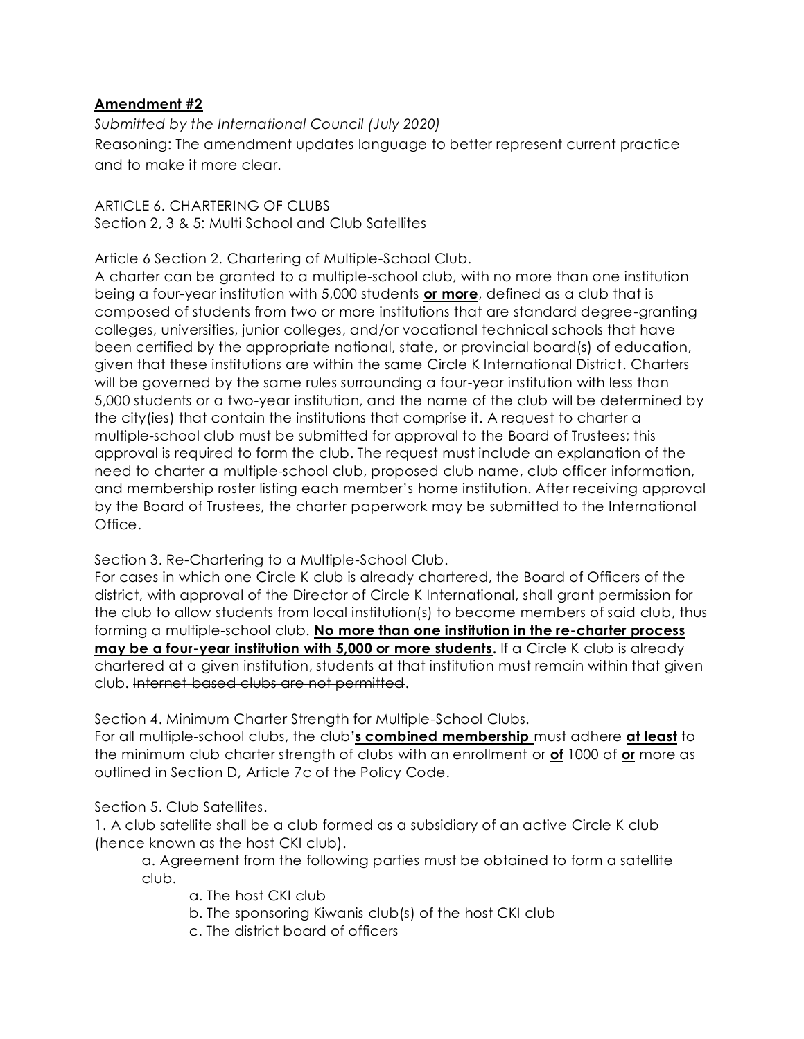*Submitted by the International Council (July 2020)* Reasoning: The amendment updates language to better represent current practice and to make it more clear.

ARTICLE 6. CHARTERING OF CLUBS Section 2, 3 & 5: Multi School and Club Satellites

Article 6 Section 2. Chartering of Multiple-School Club.

A charter can be granted to a multiple-school club, with no more than one institution being a four-year institution with 5,000 students **or more**, defined as a club that is composed of students from two or more institutions that are standard degree-granting colleges, universities, junior colleges, and/or vocational technical schools that have been certified by the appropriate national, state, or provincial board(s) of education, given that these institutions are within the same Circle K International District. Charters will be governed by the same rules surrounding a four-year institution with less than 5,000 students or a two-year institution, and the name of the club will be determined by the city(ies) that contain the institutions that comprise it. A request to charter a multiple-school club must be submitted for approval to the Board of Trustees; this approval is required to form the club. The request must include an explanation of the need to charter a multiple-school club, proposed club name, club officer information, and membership roster listing each member's home institution. After receiving approval by the Board of Trustees, the charter paperwork may be submitted to the International Office.

Section 3. Re-Chartering to a Multiple-School Club.

For cases in which one Circle K club is already chartered, the Board of Officers of the district, with approval of the Director of Circle K International, shall grant permission for the club to allow students from local institution(s) to become members of said club, thus forming a multiple-school club. **No more than one institution in the re-charter process may be a four-year institution with 5,000 or more students.** If a Circle K club is already chartered at a given institution, students at that institution must remain within that given club. Internet-based clubs are not permitted.

Section 4. Minimum Charter Strength for Multiple-School Clubs.

For all multiple-school clubs, the club**'s combined membership** must adhere **at least** to the minimum club charter strength of clubs with an enrollment or **of** 1000 of **or** more as outlined in Section D, Article 7c of the Policy Code.

Section 5. Club Satellites.

1. A club satellite shall be a club formed as a subsidiary of an active Circle K club (hence known as the host CKI club).

a. Agreement from the following parties must be obtained to form a satellite club.

- a. The host CKI club
- b. The sponsoring Kiwanis club(s) of the host CKI club
- c. The district board of officers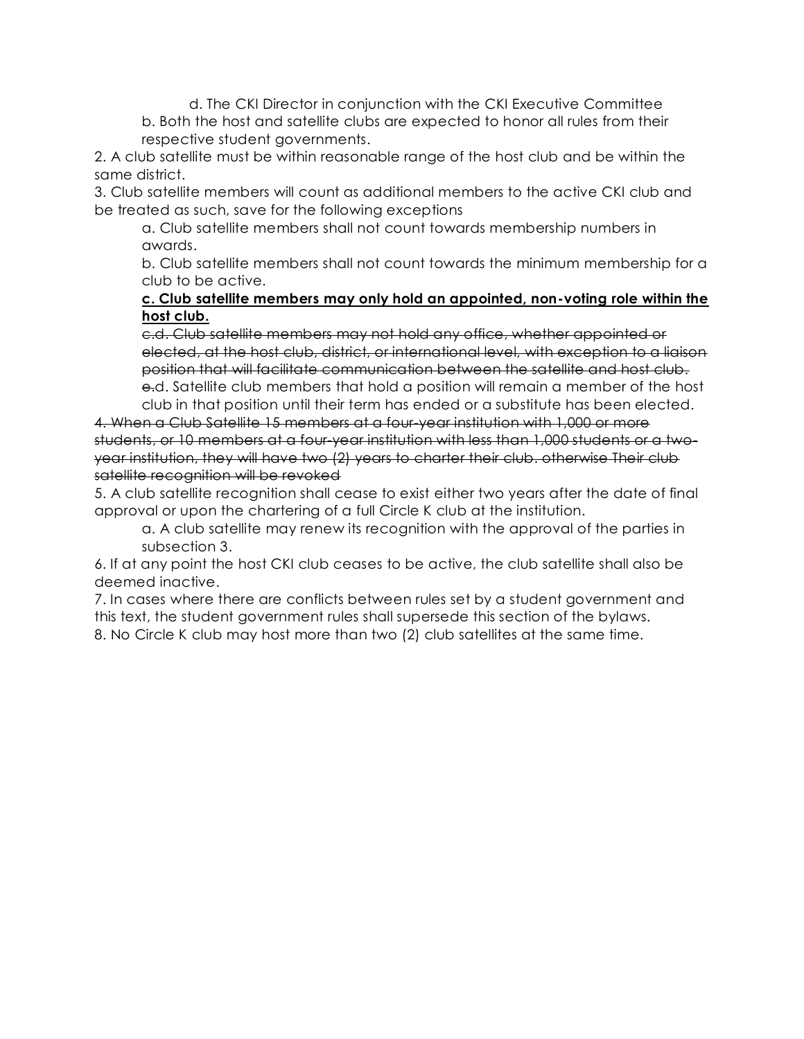d. The CKI Director in conjunction with the CKI Executive Committee b. Both the host and satellite clubs are expected to honor all rules from their respective student governments.

2. A club satellite must be within reasonable range of the host club and be within the same district.

3. Club satellite members will count as additional members to the active CKI club and be treated as such, save for the following exceptions

a. Club satellite members shall not count towards membership numbers in awards.

b. Club satellite members shall not count towards the minimum membership for a club to be active.

#### **c. Club satellite members may only hold an appointed, non-voting role within the host club.**

c.d. Club satellite members may not hold any office, whether appointed or elected, at the host club, district, or international level, with exception to a liaison position that will facilitate communication between the satellite and host club. e.d. Satellite club members that hold a position will remain a member of the host club in that position until their term has ended or a substitute has been elected.

4. When a Club Satellite 15 members at a four-year institution with 1,000 or more students, or 10 members at a four-year institution with less than 1,000 students or a twoyear institution, they will have two (2) years to charter their club. otherwise Their club satellite recognition will be revoked

5. A club satellite recognition shall cease to exist either two years after the date of final approval or upon the chartering of a full Circle K club at the institution.

a. A club satellite may renew its recognition with the approval of the parties in subsection 3.

6. If at any point the host CKI club ceases to be active, the club satellite shall also be deemed inactive.

7. In cases where there are conflicts between rules set by a student government and this text, the student government rules shall supersede this section of the bylaws. 8. No Circle K club may host more than two (2) club satellites at the same time.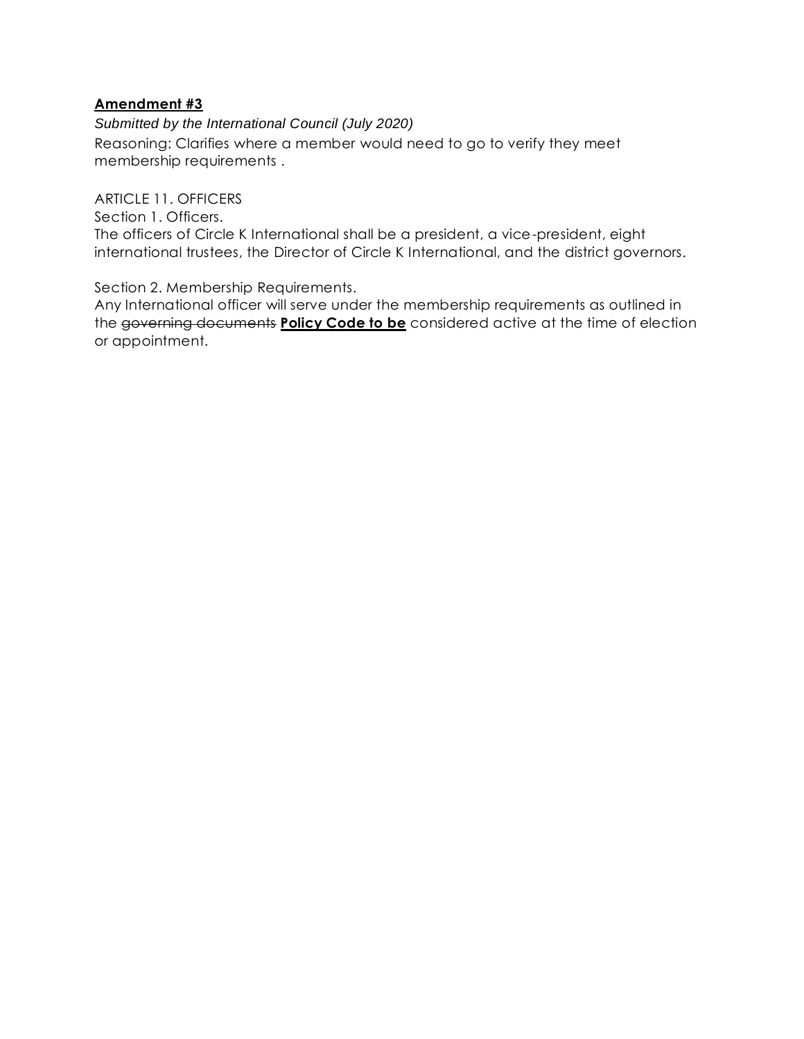*Submitted by the International Council (July 2020)* Reasoning: Clarifies where a member would need to go to verify they meet membership requirements .

ARTICLE 11. OFFICERS

Section 1. Officers.

The officers of Circle K International shall be a president, a vice-president, eight international trustees, the Director of Circle K International, and the district governors.

Section 2. Membership Requirements.

Any International officer will serve under the membership requirements as outlined in the governing documents **Policy Code to be** considered active at the time of election or appointment.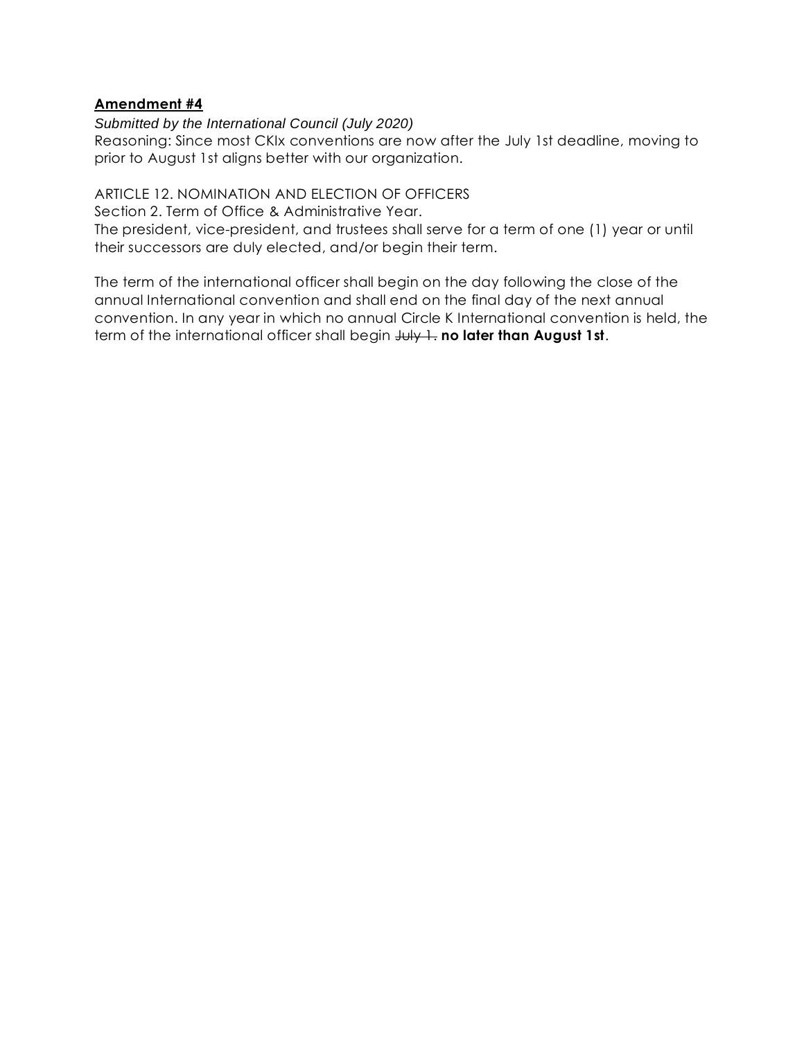#### *Submitted by the International Council (July 2020)*

Reasoning: Since most CKIx conventions are now after the July 1st deadline, moving to prior to August 1st aligns better with our organization.

# ARTICLE 12. NOMINATION AND ELECTION OF OFFICERS

Section 2. Term of Office & Administrative Year.

The president, vice-president, and trustees shall serve for a term of one (1) year or until their successors are duly elected, and/or begin their term.

The term of the international officer shall begin on the day following the close of the annual International convention and shall end on the final day of the next annual convention. In any year in which no annual Circle K International convention is held, the term of the international officer shall begin  $J \cup J + I$ . **no later than August 1st**.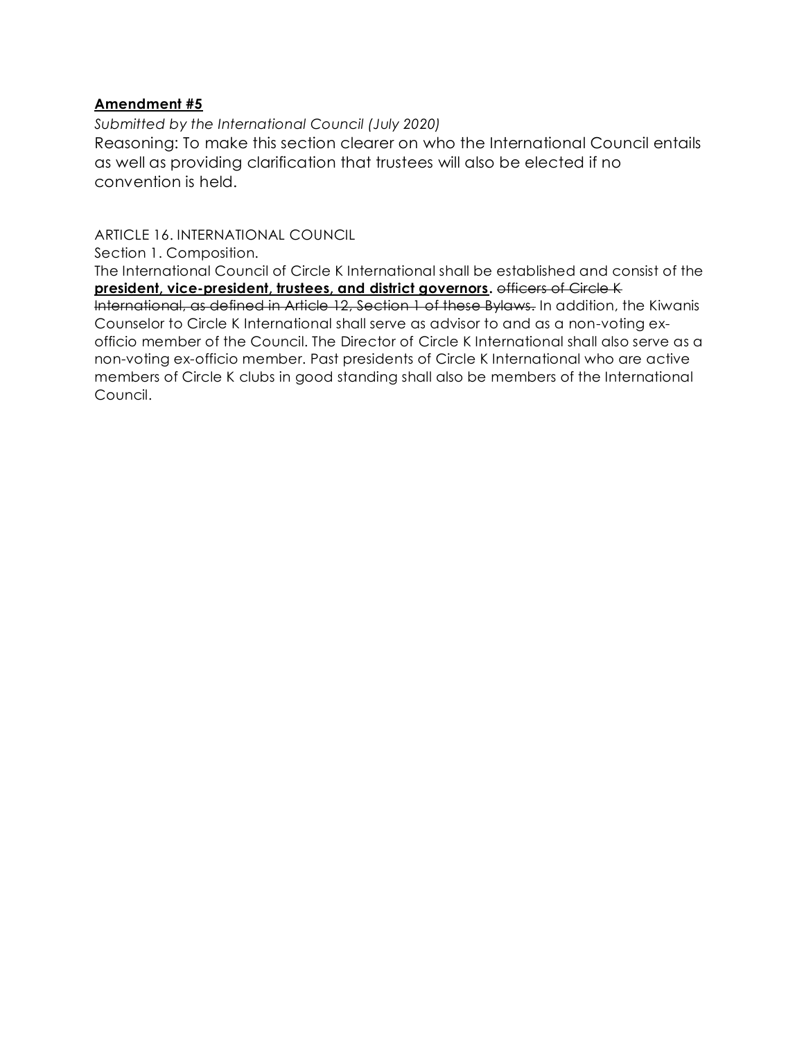*Submitted by the International Council (July 2020)*

Reasoning: To make this section clearer on who the International Council entails as well as providing clarification that trustees will also be elected if no convention is held.

ARTICLE 16. INTERNATIONAL COUNCIL

Section 1. Composition.

The International Council of Circle K International shall be established and consist of the **president, vice-president, trustees, and district governors.** officers of Circle K International, as defined in Article 12, Section 1 of these Bylaws. In addition, the Kiwanis Counselor to Circle K International shall serve as advisor to and as a non-voting exofficio member of the Council. The Director of Circle K International shall also serve as a non-voting ex-officio member. Past presidents of Circle K International who are active members of Circle K clubs in good standing shall also be members of the International Council.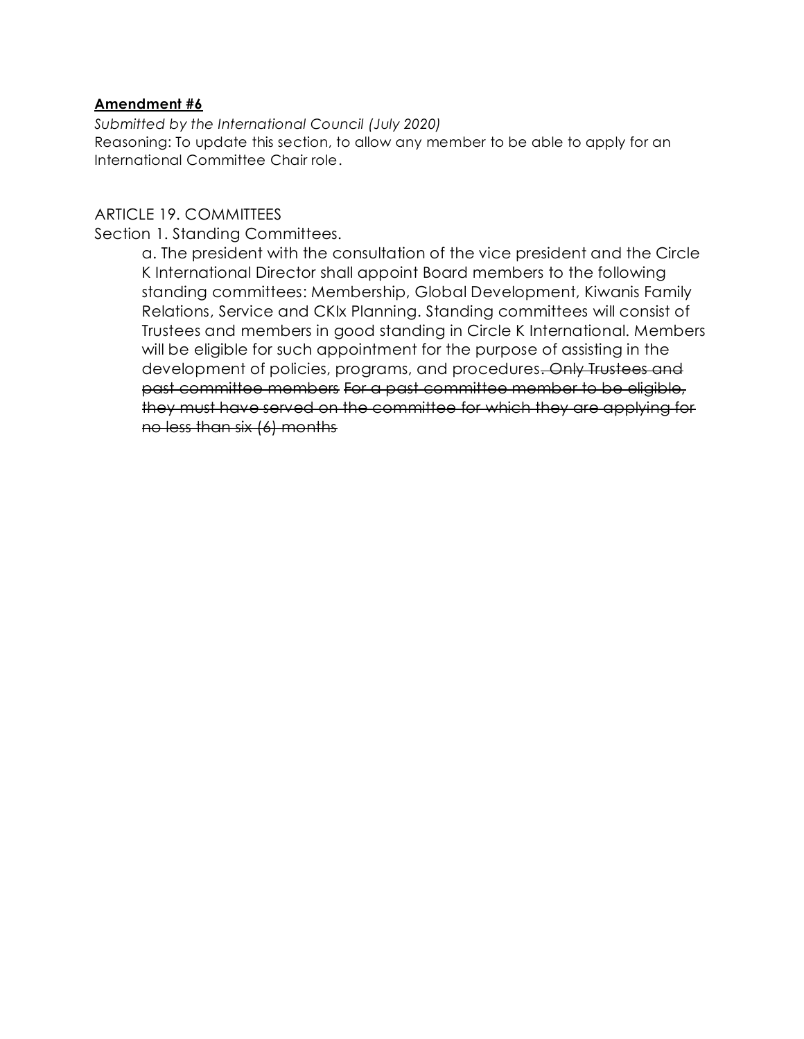*Submitted by the International Council (July 2020)* Reasoning: To update this section, to allow any member to be able to apply for an International Committee Chair role.

# ARTICLE 19. COMMITTEES

Section 1. Standing Committees.

a. The president with the consultation of the vice president and the Circle K International Director shall appoint Board members to the following standing committees: Membership, Global Development, Kiwanis Family Relations, Service and CKIx Planning. Standing committees will consist of Trustees and members in good standing in Circle K International. Members will be eligible for such appointment for the purpose of assisting in the development of policies, programs, and procedures. Only Trustees and past committee members For a past committee member to be eligible, they must have served on the committee for which they are applying for no less than six (6) months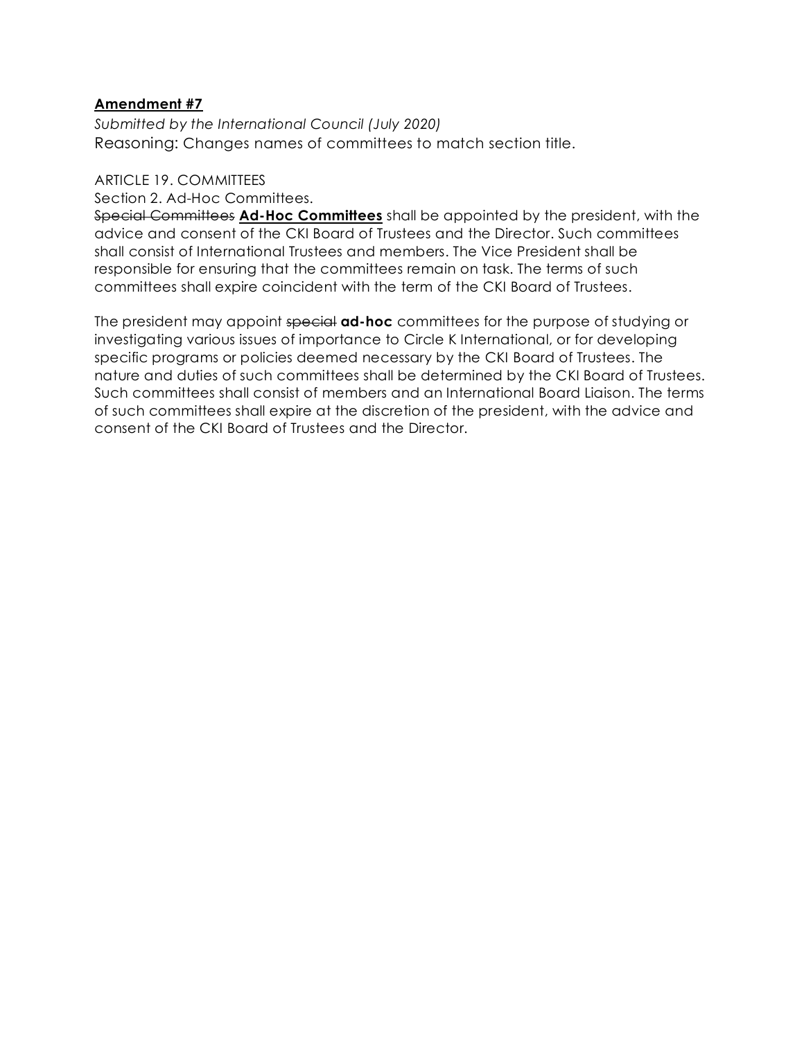*Submitted by the International Council (July 2020)* Reasoning: Changes names of committees to match section title.

#### ARTICLE 19. COMMITTEES

Section 2. Ad-Hoc Committees.

Special Committees **Ad-Hoc Committees** shall be appointed by the president, with the advice and consent of the CKI Board of Trustees and the Director. Such committees shall consist of International Trustees and members. The Vice President shall be responsible for ensuring that the committees remain on task. The terms of such committees shall expire coincident with the term of the CKI Board of Trustees.

The president may appoint special **ad-hoc** committees for the purpose of studying or investigating various issues of importance to Circle K International, or for developing specific programs or policies deemed necessary by the CKI Board of Trustees. The nature and duties of such committees shall be determined by the CKI Board of Trustees. Such committees shall consist of members and an International Board Liaison. The terms of such committees shall expire at the discretion of the president, with the advice and consent of the CKI Board of Trustees and the Director.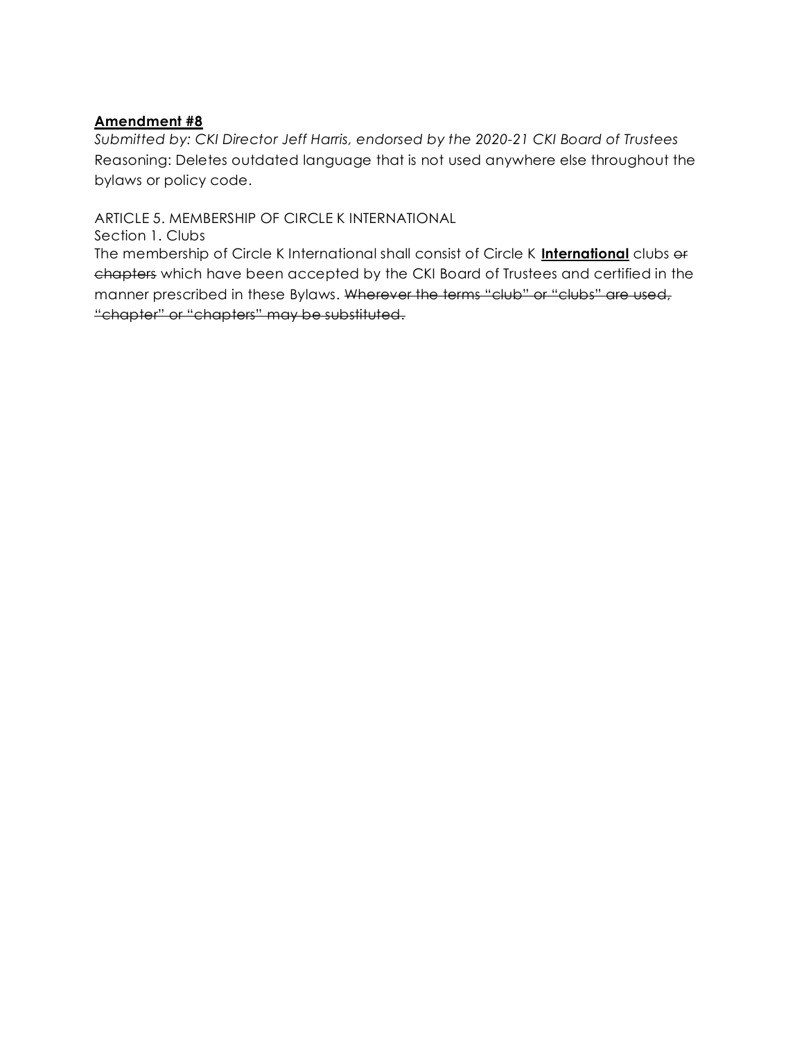*Submitted by: CKI Director Jeff Harris, endorsed by the 2020-21 CKI Board of Trustees*  Reasoning: Deletes outdated language that is not used anywhere else throughout the bylaws or policy code.

ARTICLE 5. MEMBERSHIP OF CIRCLE K INTERNATIONAL

Section 1. Clubs

The membership of Circle K International shall consist of Circle K **International** clubs or chapters which have been accepted by the CKI Board of Trustees and certified in the manner prescribed in these Bylaws. Wherever the terms "club" or "clubs" are used, "chapter" or "chapters" may be substituted.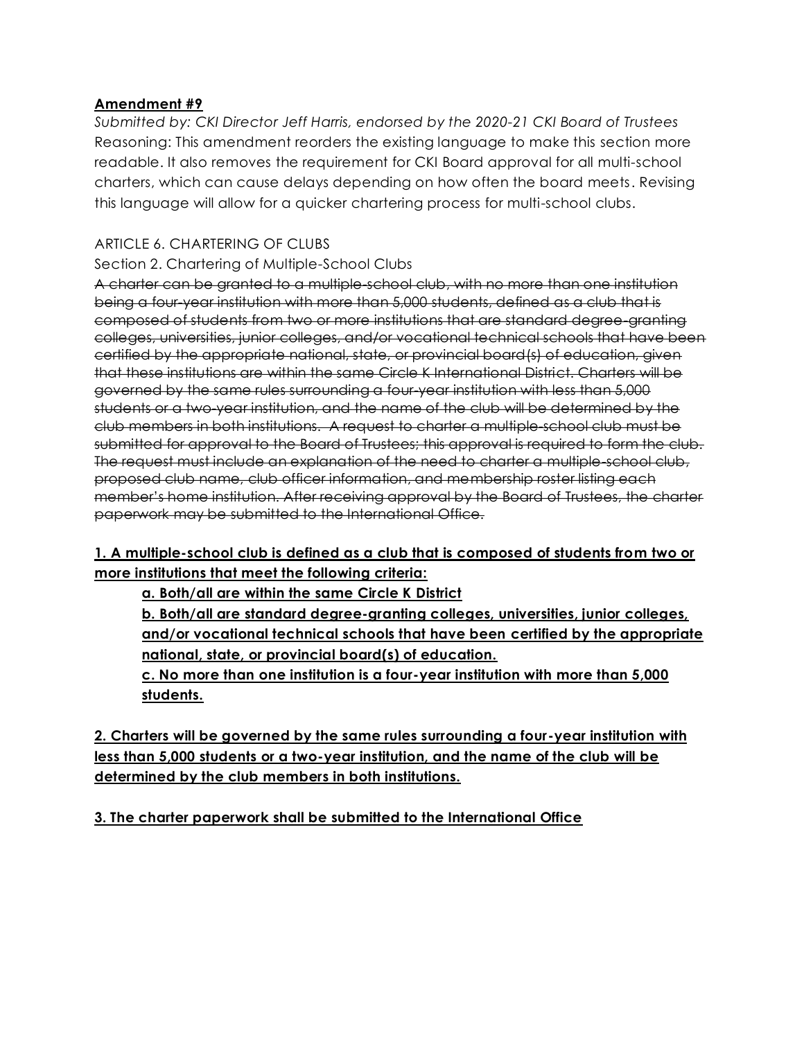*Submitted by: CKI Director Jeff Harris, endorsed by the 2020-21 CKI Board of Trustees*  Reasoning: This amendment reorders the existing language to make this section more readable. It also removes the requirement for CKI Board approval for all multi-school charters, which can cause delays depending on how often the board meets. Revising this language will allow for a quicker chartering process for multi-school clubs.

# ARTICLE 6. CHARTERING OF CLUBS

# Section 2. Chartering of Multiple-School Clubs

A charter can be granted to a multiple-school club, with no more than one institution being a four-year institution with more than 5,000 students, defined as a club that is composed of students from two or more institutions that are standard degree-granting colleges, universities, junior colleges, and/or vocational technical schools that have been certified by the appropriate national, state, or provincial board(s) of education, given that these institutions are within the same Circle K International District. Charters will be governed by the same rules surrounding a four-year institution with less than 5,000 students or a two-year institution, and the name of the club will be determined by the club members in both institutions. A request to charter a multiple-school club must be submitted for approval to the Board of Trustees; this approval is required to form the club. The request must include an explanation of the need to charter a multiple-school club, proposed club name, club officer information, and membership roster listing each member's home institution. After receiving approval by the Board of Trustees, the charter paperwork may be submitted to the International Office.

# **1. A multiple-school club is defined as a club that is composed of students from two or more institutions that meet the following criteria:**

**a. Both/all are within the same Circle K District**

**b. Both/all are standard degree-granting colleges, universities, junior colleges, and/or vocational technical schools that have been certified by the appropriate national, state, or provincial board(s) of education.**

**c. No more than one institution is a four-year institution with more than 5,000 students.**

**2. Charters will be governed by the same rules surrounding a four-year institution with less than 5,000 students or a two-year institution, and the name of the club will be determined by the club members in both institutions.**

**3. The charter paperwork shall be submitted to the International Office**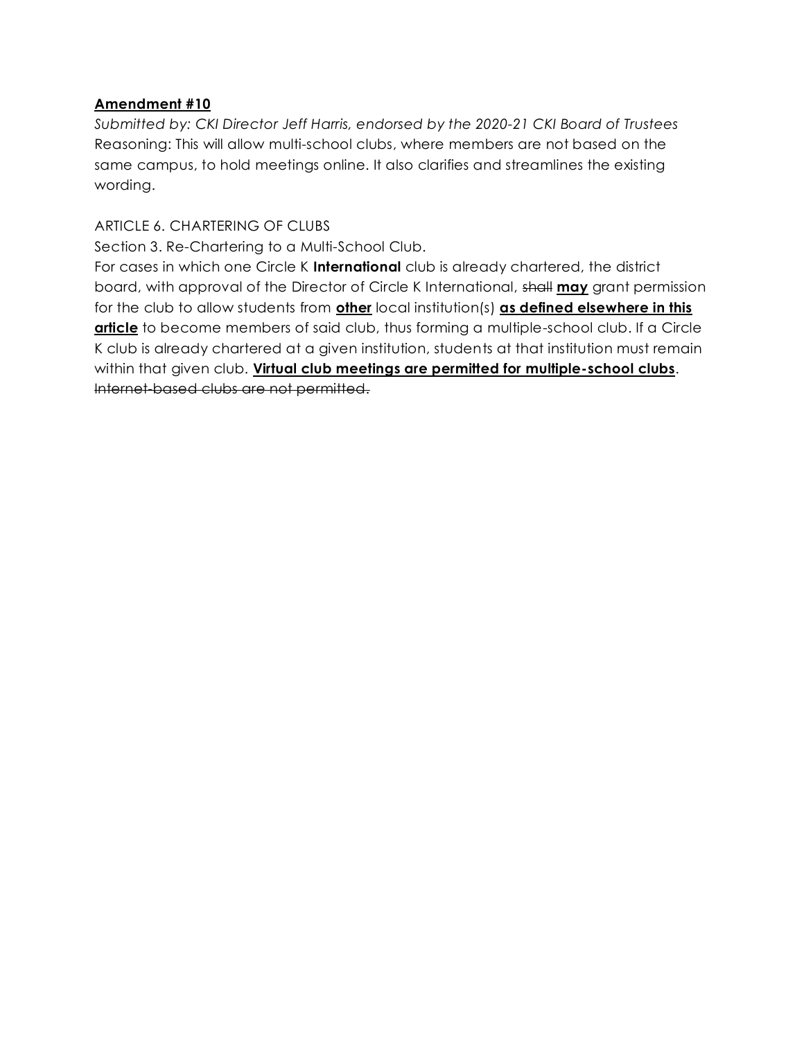*Submitted by: CKI Director Jeff Harris, endorsed by the 2020-21 CKI Board of Trustees*  Reasoning: This will allow multi-school clubs, where members are not based on the same campus, to hold meetings online. It also clarifies and streamlines the existing wording.

# ARTICLE 6. CHARTERING OF CLUBS

Section 3. Re-Chartering to a Multi-School Club.

For cases in which one Circle K **International** club is already chartered, the district board, with approval of the Director of Circle K International, shall **may** grant permission for the club to allow students from **other** local institution(s) **as defined elsewhere in this**  article to become members of said club, thus forming a multiple-school club. If a Circle K club is already chartered at a given institution, students at that institution must remain within that given club. **Virtual club meetings are permitted for multiple-school clubs**. Internet-based clubs are not permitted.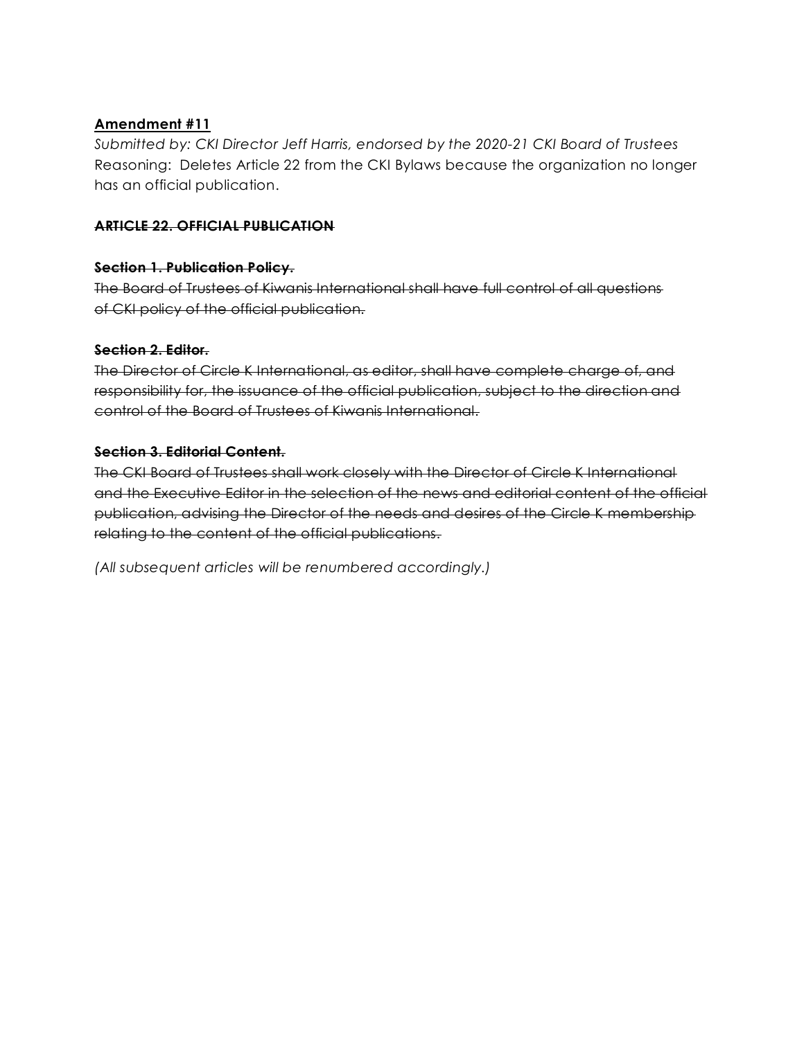*Submitted by: CKI Director Jeff Harris, endorsed by the 2020-21 CKI Board of Trustees*  Reasoning: Deletes Article 22 from the CKI Bylaws because the organization no longer has an official publication.

#### **ARTICLE 22. OFFICIAL PUBLICATION**

#### **Section 1. Publication Policy.**

The Board of Trustees of Kiwanis International shall have full control of all questions of CKI policy of the official publication.

# **Section 2. Editor.**

The Director of Circle K International, as editor, shall have complete charge of, and responsibility for, the issuance of the official publication, subject to the direction and control of the Board of Trustees of Kiwanis International.

# **Section 3. Editorial Content.**

The CKI Board of Trustees shall work closely with the Director of Circle K International and the Executive Editor in the selection of the news and editorial content of the official publication, advising the Director of the needs and desires of the Circle K membership relating to the content of the official publications.

*(All subsequent articles will be renumbered accordingly.)*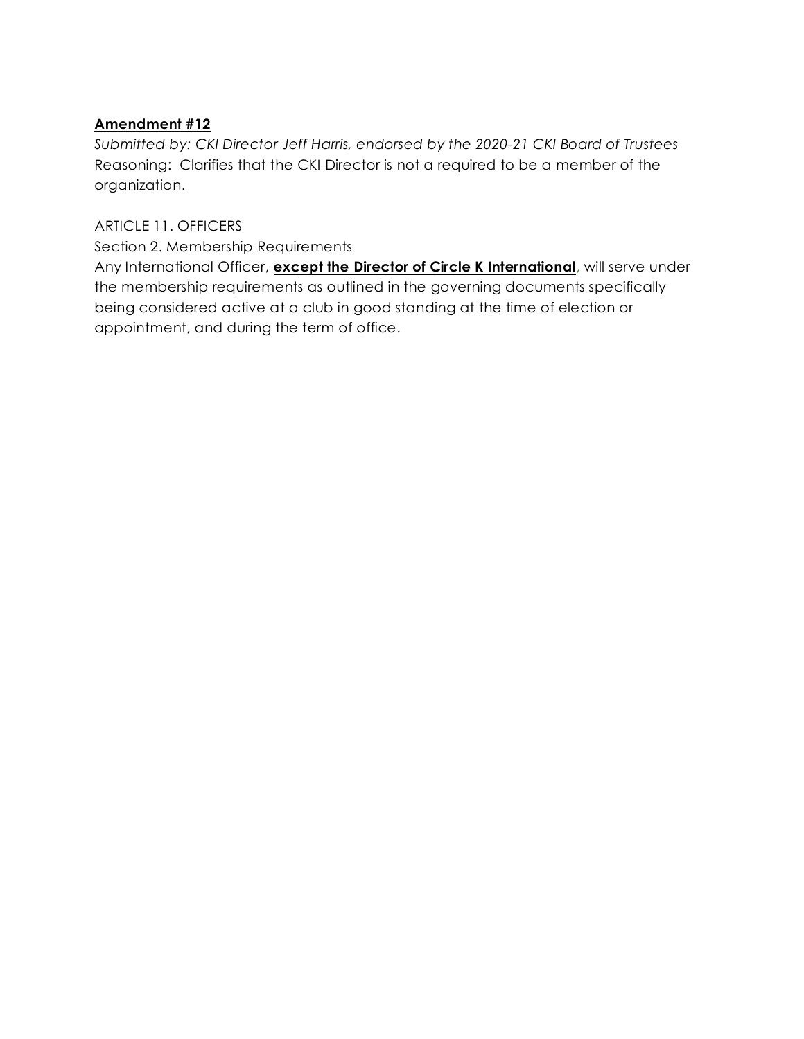*Submitted by: CKI Director Jeff Harris, endorsed by the 2020-21 CKI Board of Trustees*  Reasoning: Clarifies that the CKI Director is not a required to be a member of the organization.

ARTICLE 11. OFFICERS

Section 2. Membership Requirements

Any International Officer, **except the Director of Circle K International**, will serve under the membership requirements as outlined in the governing documents specifically being considered active at a club in good standing at the time of election or appointment, and during the term of office.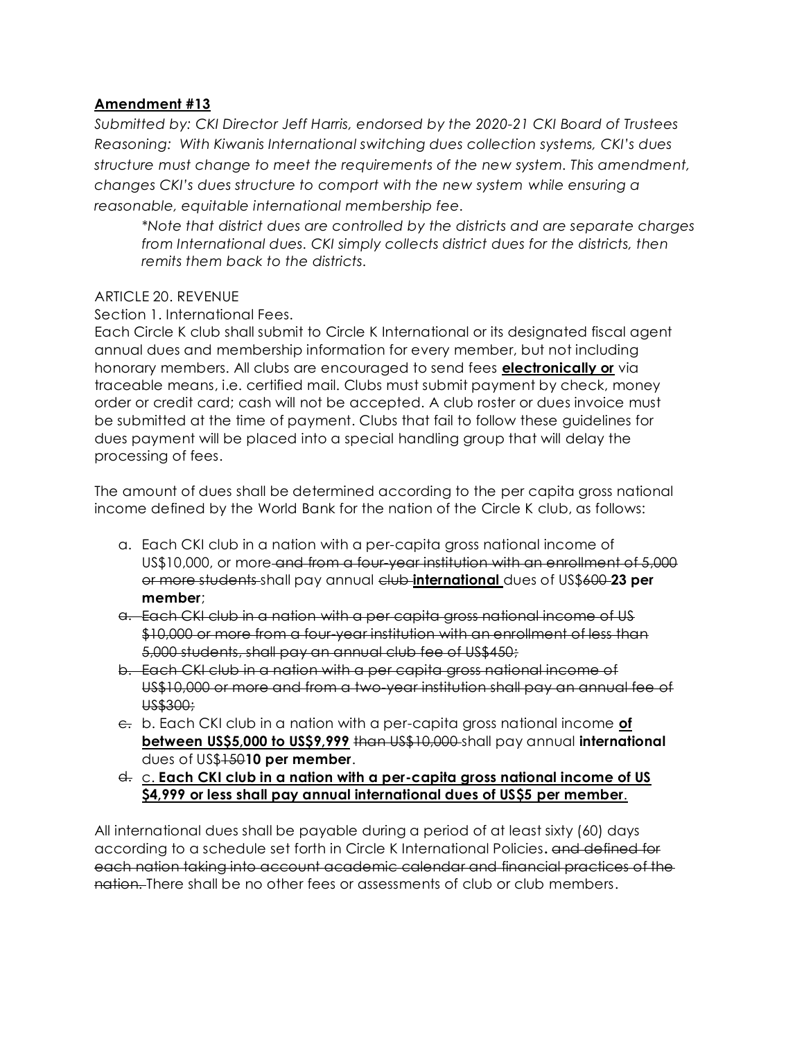*Submitted by: CKI Director Jeff Harris, endorsed by the 2020-21 CKI Board of Trustees Reasoning: With Kiwanis International switching dues collection systems, CKI's dues structure must change to meet the requirements of the new system. This amendment, changes CKI's dues structure to comport with the new system while ensuring a reasonable, equitable international membership fee.* 

*\*Note that district dues are controlled by the districts and are separate charges from International dues. CKI simply collects district dues for the districts, then remits them back to the districts.* 

# ARTICLE 20. REVENUE

Section 1. International Fees.

Each Circle K club shall submit to Circle K International or its designated fiscal agent annual dues and membership information for every member, but not including honorary members. All clubs are encouraged to send fees **electronically or** via traceable means, i.e. certified mail. Clubs must submit payment by check, money order or credit card; cash will not be accepted. A club roster or dues invoice must be submitted at the time of payment. Clubs that fail to follow these guidelines for dues payment will be placed into a special handling group that will delay the processing of fees.

The amount of dues shall be determined according to the per capita gross national income defined by the World Bank for the nation of the Circle K club, as follows:

- a. Each CKI club in a nation with a per-capita gross national income of US\$10,000, or more and from a four-year institution with an enrollment of 5,000 or more students shall pay annual club **international** dues of US\$600 **23 per member**;
- a. Each CKI club in a nation with a per capita gross national income of US \$10,000 or more from a four-year institution with an enrollment of less than 5,000 students, shall pay an annual club fee of US\$450;
- b. Each CKI club in a nation with a per capita gross national income of US\$10,000 or more and from a two-year institution shall pay an annual fee of US\$300;
- c. b. Each CKI club in a nation with a per-capita gross national income **of between US\$5,000 to US\$9,999** than US\$10,000 shall pay annual **international**  dues of US\$150**10 per member**.
- d. c. **Each CKI club in a nation with a per-capita gross national income of US \$4,999 or less shall pay annual international dues of US\$5 per member**.

All international dues shall be payable during a period of at least sixty (60) days according to a schedule set forth in Circle K International Policies**.** and defined for each nation taking into account academic calendar and financial practices of the nation. There shall be no other fees or assessments of club or club members.